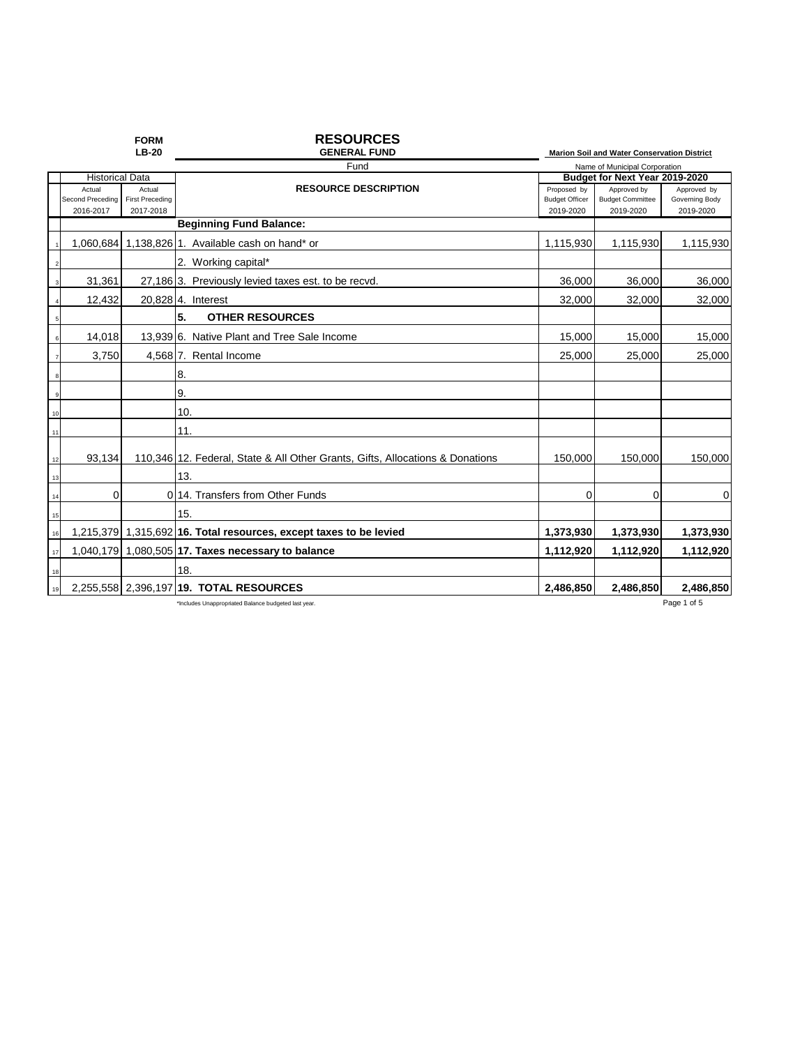|    |                               | <b>FORM</b><br><b>LB-20</b>         | <b>RESOURCES</b><br><b>GENERAL FUND</b>                                       |                                    | Marion Soil and Water Conservation District |                             |
|----|-------------------------------|-------------------------------------|-------------------------------------------------------------------------------|------------------------------------|---------------------------------------------|-----------------------------|
|    |                               |                                     | Fund                                                                          |                                    | Name of Municipal Corporation               |                             |
|    | <b>Historical Data</b>        |                                     |                                                                               | Budget for Next Year 2019-2020     |                                             |                             |
|    | Actual                        | Actual                              | <b>RESOURCE DESCRIPTION</b>                                                   | Proposed by                        | Approved by                                 | Approved by                 |
|    | Second Preceding<br>2016-2017 | <b>First Preceding</b><br>2017-2018 |                                                                               | <b>Budget Officer</b><br>2019-2020 | <b>Budget Committee</b><br>2019-2020        | Governing Body<br>2019-2020 |
|    |                               |                                     | <b>Beginning Fund Balance:</b>                                                |                                    |                                             |                             |
|    |                               |                                     | 1,060,684 1,138,826 1. Available cash on hand* or                             | 1,115,930                          | 1,115,930                                   | 1,115,930                   |
|    |                               |                                     | 2. Working capital*                                                           |                                    |                                             |                             |
|    | 31,361                        |                                     | 27,186 3. Previously levied taxes est. to be recvd.                           | 36,000                             | 36,000                                      | 36,000                      |
|    | 12,432                        |                                     | 20,828 4. Interest                                                            | 32,000                             | 32,000                                      | 32,000                      |
| 5  |                               |                                     | 5.<br><b>OTHER RESOURCES</b>                                                  |                                    |                                             |                             |
|    | 14,018                        |                                     | 13,939 6. Native Plant and Tree Sale Income                                   | 15,000                             | 15,000                                      | 15,000                      |
|    | 3,750                         |                                     | 4,568 7. Rental Income                                                        | 25.000                             | 25,000                                      | 25,000                      |
|    |                               |                                     | 8.                                                                            |                                    |                                             |                             |
|    |                               |                                     | 9.                                                                            |                                    |                                             |                             |
| 10 |                               |                                     | 10.                                                                           |                                    |                                             |                             |
| 11 |                               |                                     | 11.                                                                           |                                    |                                             |                             |
| 12 | 93,134                        |                                     | 110,346 12. Federal, State & All Other Grants, Gifts, Allocations & Donations | 150.000                            | 150.000                                     | 150.000                     |
| 13 |                               |                                     | 13.                                                                           |                                    |                                             |                             |
| 14 | 0                             |                                     | 0 14. Transfers from Other Funds                                              | 0                                  | 0                                           | $\Omega$                    |
| 15 |                               |                                     | 15.                                                                           |                                    |                                             |                             |
| 16 |                               |                                     | 1,215,379 1,315,692 16. Total resources, except taxes to be levied            | 1,373,930                          | 1,373,930                                   | 1,373,930                   |
| 17 |                               |                                     | 1,040,179 1,080,505 17. Taxes necessary to balance                            | 1,112,920                          | 1,112,920                                   | 1,112,920                   |
| 18 |                               |                                     | 18.                                                                           |                                    |                                             |                             |
| 19 |                               |                                     | 2,255,558 2,396,197 19. TOTAL RESOURCES                                       | 2.486.850                          | 2.486.850                                   | 2,486,850                   |
|    |                               |                                     | *Includes Unappropriated Balance budgeted last year.                          |                                    |                                             | Page 1 of 5                 |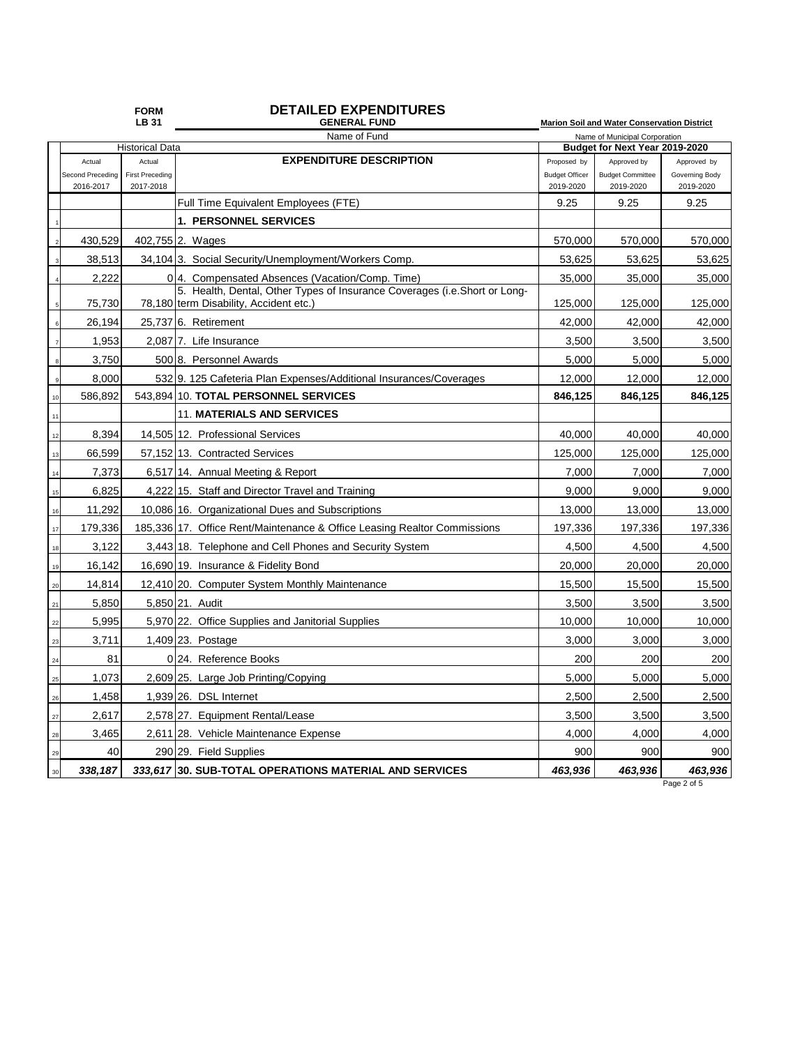| <b>FORM</b>  | <b>DETAILED EXPENDITURES</b> |
|--------------|------------------------------|
| <b>LB 31</b> | <b>GENERAL FUND</b>          |

|            |                                            | LB 31                  | <b>GENERAL FUND</b>                                                                                                 |                                                                 | Marion Soil and Water Conservation District |                |  |
|------------|--------------------------------------------|------------------------|---------------------------------------------------------------------------------------------------------------------|-----------------------------------------------------------------|---------------------------------------------|----------------|--|
|            | Name of Fund                               |                        |                                                                                                                     | Name of Municipal Corporation<br>Budget for Next Year 2019-2020 |                                             |                |  |
|            | <b>Historical Data</b><br>Actual<br>Actual |                        | <b>EXPENDITURE DESCRIPTION</b>                                                                                      | Proposed by                                                     | Approved by                                 | Approved by    |  |
|            | Second Preceding                           | <b>First Preceding</b> |                                                                                                                     | <b>Budget Officer</b>                                           | <b>Budget Committee</b>                     | Governing Body |  |
|            | 2016-2017                                  | 2017-2018              |                                                                                                                     | 2019-2020                                                       | 2019-2020                                   | 2019-2020      |  |
|            |                                            |                        | Full Time Equivalent Employees (FTE)                                                                                | 9.25                                                            | 9.25                                        | 9.25           |  |
|            |                                            |                        | <b>1. PERSONNEL SERVICES</b>                                                                                        |                                                                 |                                             |                |  |
|            | 430,529                                    |                        | 402,755 2. Wages                                                                                                    | 570,000                                                         | 570,000                                     | 570,000        |  |
|            | 38,513                                     |                        | 34,104 3. Social Security/Unemployment/Workers Comp.                                                                | 53,625                                                          | 53,625                                      | 53,625         |  |
|            | 2,222                                      |                        | 0 <sup>1</sup> 4. Compensated Absences (Vacation/Comp. Time)                                                        | 35,000                                                          | 35,000                                      | 35,000         |  |
|            | 75,730                                     |                        | 5. Health, Dental, Other Types of Insurance Coverages (i.e.Short or Long-<br>78,180 term Disability, Accident etc.) | 125,000                                                         | 125,000                                     | 125,000        |  |
| 6          | 26,194                                     |                        | 25,737 6. Retirement                                                                                                | 42,000                                                          | 42,000                                      | 42,000         |  |
|            | 1,953                                      |                        | 2,087 7. Life Insurance                                                                                             | 3,500                                                           | 3,500                                       | 3,500          |  |
|            | 3,750                                      |                        | 500 8. Personnel Awards                                                                                             | 5,000                                                           | 5,000                                       | 5,000          |  |
|            | 8,000                                      |                        | 532 9. 125 Cafeteria Plan Expenses/Additional Insurances/Coverages                                                  | 12,000                                                          | 12,000                                      | 12,000         |  |
| 10         | 586,892                                    |                        | 543,894 10. TOTAL PERSONNEL SERVICES                                                                                | 846,125                                                         | 846,125                                     | 846,125        |  |
| 11         |                                            |                        | <b>11. MATERIALS AND SERVICES</b>                                                                                   |                                                                 |                                             |                |  |
| 12         | 8,394                                      |                        | 14,505 12. Professional Services                                                                                    | 40,000                                                          | 40,000                                      | 40,000         |  |
| 13         | 66,599                                     |                        | 57,152 13. Contracted Services                                                                                      | 125,000                                                         | 125,000                                     | 125,000        |  |
| 14         | 7,373                                      |                        | 6,517 14. Annual Meeting & Report                                                                                   | 7,000                                                           | 7,000                                       | 7,000          |  |
| 15         | 6,825                                      |                        | 4,222 15. Staff and Director Travel and Training                                                                    | 9,000                                                           | 9,000                                       | 9,000          |  |
| 16         | 11,292                                     |                        | 10,086 16. Organizational Dues and Subscriptions                                                                    | 13,000                                                          | 13,000                                      | 13,000         |  |
| 17         | 179,336                                    |                        | 185,336 17. Office Rent/Maintenance & Office Leasing Realtor Commissions                                            | 197,336                                                         | 197,336                                     | 197,336        |  |
| 18         | 3,122                                      |                        | 3,443 18. Telephone and Cell Phones and Security System                                                             | 4,500                                                           | 4,500                                       | 4,500          |  |
| 19         | 16,142                                     |                        | 16,690 19. Insurance & Fidelity Bond                                                                                | 20,000                                                          | 20,000                                      | 20,000         |  |
| 20         | 14,814                                     |                        | 12,410 20. Computer System Monthly Maintenance                                                                      | 15,500                                                          | 15,500                                      | 15,500         |  |
| $21\,$     | 5,850                                      |                        | 5,850 21. Audit                                                                                                     | 3,500                                                           | 3,500                                       | 3,500          |  |
| 22         | 5,995                                      |                        | 5,970 22. Office Supplies and Janitorial Supplies                                                                   | 10,000                                                          | 10,000                                      | 10,000         |  |
| 23         | 3,711                                      |                        | 1,409 23. Postage                                                                                                   | 3,000                                                           | 3,000                                       | 3,000          |  |
| ${\bf 24}$ | 81                                         |                        | 0 24. Reference Books                                                                                               | 200                                                             | 200                                         | 200            |  |
| 25         | 1,073                                      |                        | 2,609 25. Large Job Printing/Copying                                                                                | 5,000                                                           | 5,000                                       | 5,000          |  |
| 26         | 1,458                                      |                        | 1,939 26. DSL Internet                                                                                              | 2,500                                                           | 2,500                                       | 2,500          |  |
| 27         | 2,617                                      |                        | 2,578 27. Equipment Rental/Lease                                                                                    | 3,500                                                           | 3,500                                       | 3,500          |  |
| 28         | 3,465                                      |                        | 2,611 28. Vehicle Maintenance Expense                                                                               | 4,000                                                           | 4,000                                       | 4,000          |  |
| 29         | 40                                         |                        | 290 29. Field Supplies                                                                                              | 900                                                             | 900                                         | 900            |  |
| $30\,$     | 338,187                                    |                        | 333,617 30. SUB-TOTAL OPERATIONS MATERIAL AND SERVICES                                                              | 463,936                                                         | 463,936                                     | 463,936        |  |

Page 2 of 5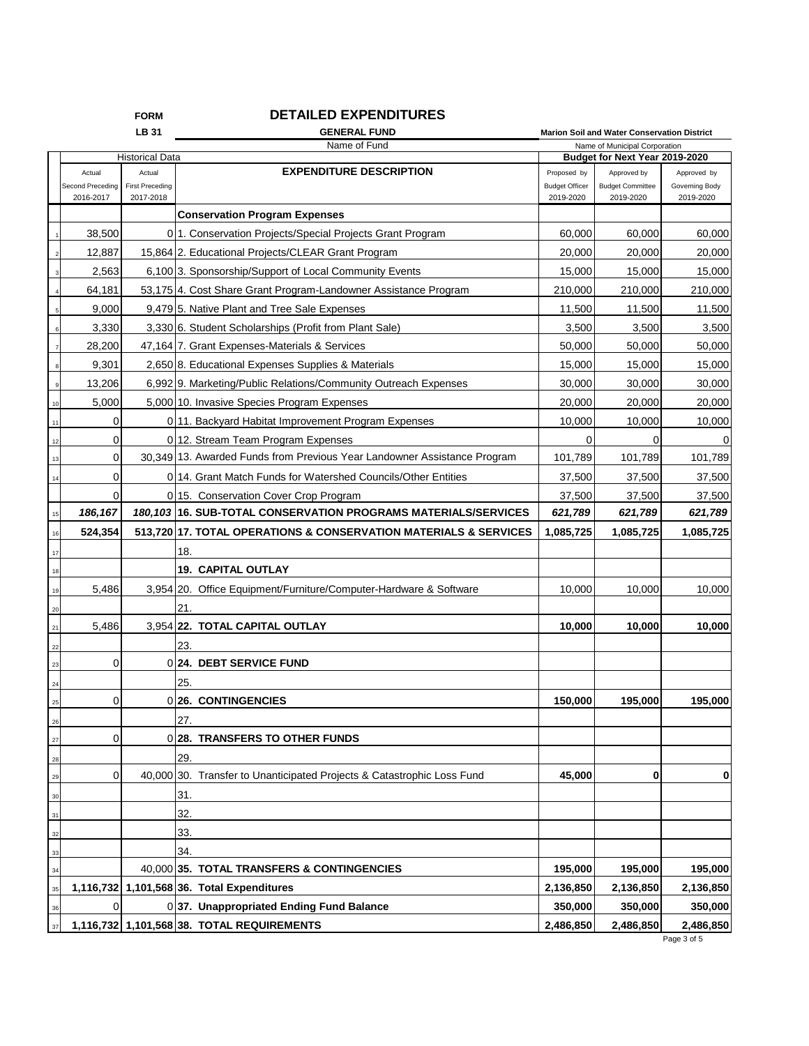## **FORM DETAILED EXPENDITURES**

|                        |                            | LB 31                  | <b>GENERAL FUND</b>                                                      |                                                                 | Marion Soil and Water Conservation District |                               |
|------------------------|----------------------------|------------------------|--------------------------------------------------------------------------|-----------------------------------------------------------------|---------------------------------------------|-------------------------------|
| <b>Historical Data</b> |                            |                        | Name of Fund                                                             | Name of Municipal Corporation<br>Budget for Next Year 2019-2020 |                                             |                               |
|                        |                            | Actual                 | <b>EXPENDITURE DESCRIPTION</b>                                           | Proposed by                                                     |                                             |                               |
|                        | Actual<br>Second Preceding | <b>First Preceding</b> |                                                                          | <b>Budget Officer</b>                                           | Approved by<br><b>Budget Committee</b>      | Approved by<br>Governing Body |
|                        | 2016-2017                  | 2017-2018              |                                                                          | 2019-2020                                                       | 2019-2020                                   | 2019-2020                     |
|                        |                            |                        | <b>Conservation Program Expenses</b>                                     |                                                                 |                                             |                               |
|                        | 38,500                     |                        | 011. Conservation Projects/Special Projects Grant Program                | 60,000                                                          | 60,000                                      | 60,000                        |
|                        | 12,887                     |                        | 15,864 2. Educational Projects/CLEAR Grant Program                       | 20,000                                                          | 20,000                                      | 20,000                        |
|                        | 2,563                      |                        | 6,100 3. Sponsorship/Support of Local Community Events                   | 15,000                                                          | 15,000                                      | 15,000                        |
|                        | 64,181                     |                        | 53,175 4. Cost Share Grant Program-Landowner Assistance Program          | 210,000                                                         | 210,000                                     | 210,000                       |
|                        | 9,000                      |                        | 9,479 5. Native Plant and Tree Sale Expenses                             | 11,500                                                          | 11,500                                      | 11,500                        |
|                        | 3,330                      |                        | 3,330 6. Student Scholarships (Profit from Plant Sale)                   | 3,500                                                           | 3,500                                       | 3,500                         |
|                        | 28,200                     |                        | 47,164 7. Grant Expenses-Materials & Services                            | 50,000                                                          | 50,000                                      | 50,000                        |
|                        | 9,301                      |                        | 2,650 8. Educational Expenses Supplies & Materials                       | 15,000                                                          | 15,000                                      | 15,000                        |
|                        | 13,206                     |                        | 6,992 9. Marketing/Public Relations/Community Outreach Expenses          | 30,000                                                          | 30,000                                      | 30,000                        |
|                        | 5,000                      |                        | 5,000 10. Invasive Species Program Expenses                              | 20,000                                                          | 20,000                                      | 20,000                        |
| 11                     | 0                          |                        | 0 11. Backyard Habitat Improvement Program Expenses                      | 10,000                                                          | 10,000                                      | 10,000                        |
| 12                     | 0                          |                        | 0 12. Stream Team Program Expenses                                       | 0                                                               | 0                                           |                               |
| 13                     | $\mathbf 0$                |                        | 30.349 13. Awarded Funds from Previous Year Landowner Assistance Program | 101,789                                                         | 101,789                                     | 101,789                       |
| 14                     | $\mathbf 0$                |                        | 0 14. Grant Match Funds for Watershed Councils/Other Entities            | 37,500                                                          | 37,500                                      | 37,500                        |
|                        | $\mathbf 0$                |                        | 0 15. Conservation Cover Crop Program                                    | 37,500                                                          | 37,500                                      | 37,500                        |
| 15                     | 186,167                    |                        | 180, 103 16. SUB-TOTAL CONSERVATION PROGRAMS MATERIALS/SERVICES          | 621,789                                                         | 621,789                                     | 621,789                       |
| 16                     | 524,354                    |                        | 513,720 17. TOTAL OPERATIONS & CONSERVATION MATERIALS & SERVICES         | 1,085,725                                                       | 1,085,725                                   | 1,085,725                     |
| 17                     |                            |                        | 18.                                                                      |                                                                 |                                             |                               |
| 18                     |                            |                        | <b>19. CAPITAL OUTLAY</b>                                                |                                                                 |                                             |                               |
| 19                     | 5,486                      |                        | 3,954 20. Office Equipment/Furniture/Computer-Hardware & Software        | 10,000                                                          | 10,000                                      | 10,000                        |
| 20                     |                            |                        | 21.                                                                      |                                                                 |                                             |                               |
| 21                     | 5,486                      |                        | 3,954 22. TOTAL CAPITAL OUTLAY                                           | 10,000                                                          | 10,000                                      | 10,000                        |
| 22                     |                            |                        | 23.                                                                      |                                                                 |                                             |                               |
| 23                     | 0                          |                        | 0 24. DEBT SERVICE FUND                                                  |                                                                 |                                             |                               |
| 24                     |                            |                        | 25.                                                                      |                                                                 |                                             |                               |
| 25                     | 0                          |                        | 0 26. CONTINGENCIES                                                      | 150,000                                                         | 195,000                                     | 195,000                       |
| z                      |                            |                        | 27.                                                                      |                                                                 |                                             |                               |
| 27                     | 0                          |                        | 0 28. TRANSFERS TO OTHER FUNDS                                           |                                                                 |                                             |                               |
| 28                     |                            |                        | 29.                                                                      |                                                                 |                                             |                               |
| 29                     | 0                          |                        | 40,000 30. Transfer to Unanticipated Projects & Catastrophic Loss Fund   | 45,000                                                          | 0                                           | 0                             |
| 30                     |                            |                        | 31.                                                                      |                                                                 |                                             |                               |
| 31                     |                            |                        | 32.                                                                      |                                                                 |                                             |                               |
| 32                     |                            |                        | 33.                                                                      |                                                                 |                                             |                               |
| 33                     |                            |                        | 34.                                                                      |                                                                 |                                             |                               |
| 34                     |                            |                        | 40,000 35. TOTAL TRANSFERS & CONTINGENCIES                               | 195,000                                                         | 195,000                                     | 195,000                       |
| 35                     |                            |                        | 1,116,732 1,101,568 36. Total Expenditures                               | 2,136,850                                                       | 2,136,850                                   | 2,136,850                     |
| 36                     | $\Omega$                   |                        | 037. Unappropriated Ending Fund Balance                                  | 350,000                                                         | 350,000                                     | 350,000                       |
| 37                     |                            |                        | 1,116,732 1,101,568 38. TOTAL REQUIREMENTS                               | 2,486,850                                                       | 2,486,850                                   | 2,486,850                     |

Page 3 of 5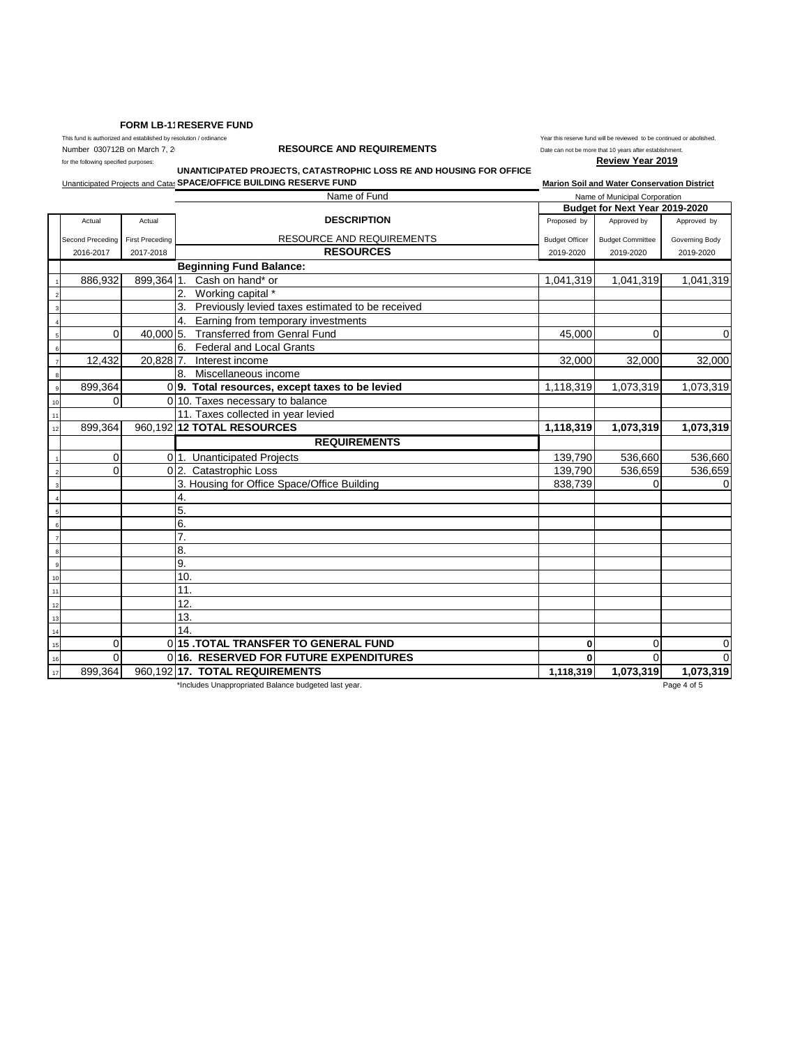## **FORM LB-11RESERVE FUND**

This fund is authorized and established by resolution / ordinance  $\blacksquare$  Year this reserve fund will be reviewed to be continued or abolished.

## Number 030712B on March 7, 2<sup>0</sup> **RESOURCE AND REQUIREMENTS** Date can not be more that 10 years after establishment.

for the following specified purposes: **Review Year 2019 UNANTICIPATED PROJECTS, CATASTROPHIC LOSS RE AND HOUSING FOR OFFICE** 

**Unanticipated Projects and Catas SPACE/OFFICE BUILDING RESERVE FUND Marion Soli and Water Conservation District** 

Name of Fund Name of Municipal Corporation Actual Actual **Actual Actual Actual Actual Actual Actual Actual Approved by Approved by Approved by Approved by** Second Preceding First Preceding **First Preceding Coverning Body** RESOURCE AND REQUIREMENTS Budget Officer Budget Committee Governing Body 2016-2017 2017-2018 **RESOURCES** 2019-2020 2019-2020 2019-2020 **Beginning Fund Balance:** 886,932 899,364 1. Cash on hand\* or 1,041,319 1,041,319 1,041,319 1,041,319 1,041,319 2. Working capital \* 3. Previously levied taxes estimated to be received 4. Earning from temporary investments <sup>5</sup> 0 40,000 5. Transferred from Genral Fund 45,000 0 0 6. Federal and Local Grants<br>20,828 7. Interest income 12,432 20,828 7. Interest income 32,000 32,000 32,000 32,000 32,000 32,000 32,000 32,000 32,000 32,000 32,000 32,000 32,000 32,000 32,000 32,000 32,000 32,000 32,000 32,000 32,000 32,000 32,000 32,000 32,000 32,000 32,000 8. Miscellaneous income 899,364 0 **9. Total resources, except taxes to be levied** 1,118,319 1,073,319 1,073,319 1,073,319  $0 \mid 10$ . Taxes necessary to balance 11. Taxes collected in year levied<br>899.364 960.192 12 TOTAL RESOURCES <sup>12</sup> 899,364 960,192 **12 TOTAL RESOURCES 1,118,319 1,073,319 1,073,319 REQUIREMENTS**  0 0 1. Unanticipated Projects 139,790 536,660 536,660 536,660 0 0 2. Catastrophic Loss 139,790 536,659 536,659 536,659 <sup>3</sup> 3. Housing for Office Space/Office Building 838,739 0 0  $4.4$  $\overline{\phantom{a}}$  5. 6 6.  $7$  7. 8 8. 9 9. 10 10.  $\frac{1}{11}$  11.  $12$  12. 13. <sup>14</sup> 14. <sup>15</sup> 0 0 **15 .TOTAL TRANSFER TO GENERAL FUND 0** 0 0 <sup>16</sup> 0 0 **16. RESERVED FOR FUTURE EXPENDITURES 0** 0 0 <sup>17</sup> 899,364 960,192 **17. TOTAL REQUIREMENTS 1,118,319 1,073,319 1,073,319 Budget for Next Year 2019-2020**

\*Includes Unappropriated Balance budgeted last year. Page 4 of 5